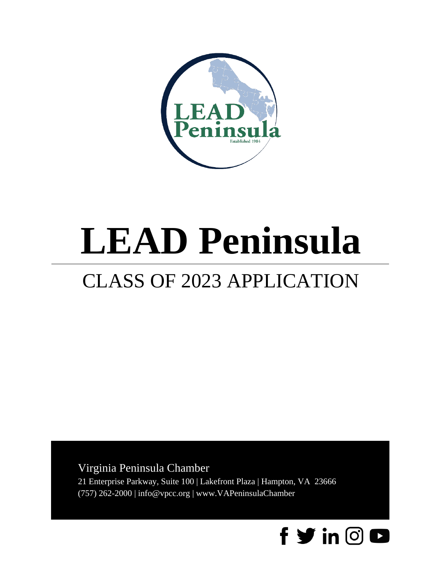

# **LEAD Peninsula**

## CLASS OF 2023 APPLICATION

### Virginia Peninsula Chamber

21 Enterprise Parkway, Suite 100 | Lakefront Plaza | Hampton, VA 23666 (757) 262-2000 | info@vpcc.org | www.VAPeninsulaChamber

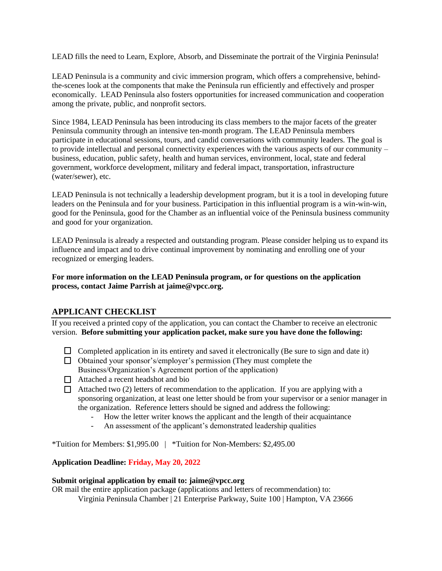LEAD fills the need to Learn, Explore, Absorb, and Disseminate the portrait of the Virginia Peninsula!

LEAD Peninsula is a community and civic immersion program, which offers a comprehensive, behindthe-scenes look at the components that make the Peninsula run efficiently and effectively and prosper economically. LEAD Peninsula also fosters opportunities for increased communication and cooperation among the private, public, and nonprofit sectors.

Since 1984, LEAD Peninsula has been introducing its class members to the major facets of the greater Peninsula community through an intensive ten-month program. The LEAD Peninsula members participate in educational sessions, tours, and candid conversations with community leaders. The goal is to provide intellectual and personal connectivity experiences with the various aspects of our community – business, education, public safety, health and human services, environment, local, state and federal government, workforce development, military and federal impact, transportation, infrastructure (water/sewer), etc.

LEAD Peninsula is not technically a leadership development program, but it is a tool in developing future leaders on the Peninsula and for your business. Participation in this influential program is a win-win-win, good for the Peninsula, good for the Chamber as an influential voice of the Peninsula business community and good for your organization.

LEAD Peninsula is already a respected and outstanding program. Please consider helping us to expand its influence and impact and to drive continual improvement by nominating and enrolling one of your recognized or emerging leaders.

#### **For more information on the LEAD Peninsula program, or for questions on the application process, contact Jaime Parrish at jaime@vpcc.org.**

#### **APPLICANT CHECKLIST**

If you received a printed copy of the application, you can contact the Chamber to receive an electronic version. **Before submitting your application packet, make sure you have done the following:**

- $\Box$  Completed application in its entirety and saved it electronically (Be sure to sign and date it)
- Obtained your sponsor's/employer's permission (They must complete the Business/Organization's Agreement portion of the application)
- □ Attached a recent headshot and bio
- $\Box$  Attached two (2) letters of recommendation to the application. If you are applying with a sponsoring organization, at least one letter should be from your supervisor or a senior manager in the organization. Reference letters should be signed and address the following:
	- How the letter writer knows the applicant and the length of their acquaintance
	- An assessment of the applicant's demonstrated leadership qualities

\*Tuition for Members: \$1,995.00 | \*Tuition for Non-Members: \$2,495.00

#### **Application Deadline: Friday, May 20, 2022**

#### **Submit original application by email to: jaime@vpcc.org**

OR mail the entire application package (applications and letters of recommendation) to:

Virginia Peninsula Chamber | 21 Enterprise Parkway, Suite 100 | Hampton, VA 23666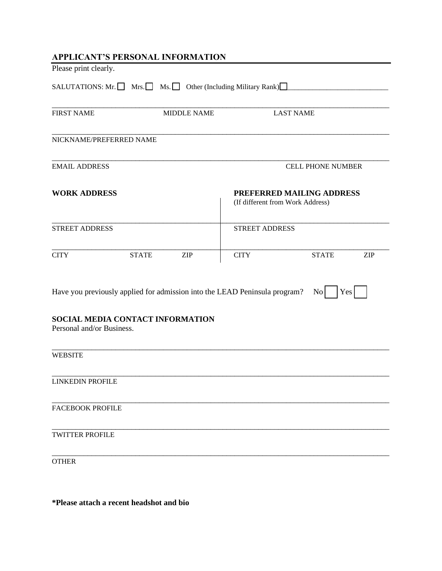| <b>APPLICANT'S PERSONAL INFORMATION</b>                                    |              |                    |                                                               |              |            |  |
|----------------------------------------------------------------------------|--------------|--------------------|---------------------------------------------------------------|--------------|------------|--|
| Please print clearly.                                                      |              |                    |                                                               |              |            |  |
| SALUTATIONS: Mr. Mrs. Ms. Other (Including Military Rank)                  |              |                    |                                                               |              |            |  |
| <b>FIRST NAME</b>                                                          |              | <b>MIDDLE NAME</b> | <b>LAST NAME</b>                                              |              |            |  |
| NICKNAME/PREFERRED NAME                                                    |              |                    |                                                               |              |            |  |
| <b>EMAIL ADDRESS</b>                                                       |              |                    | <b>CELL PHONE NUMBER</b>                                      |              |            |  |
| <b>WORK ADDRESS</b>                                                        |              |                    | PREFERRED MAILING ADDRESS<br>(If different from Work Address) |              |            |  |
| <b>STREET ADDRESS</b>                                                      |              |                    | <b>STREET ADDRESS</b>                                         |              |            |  |
| <b>CITY</b>                                                                | <b>STATE</b> | <b>ZIP</b>         | <b>CITY</b>                                                   | <b>STATE</b> | <b>ZIP</b> |  |
| Have you previously applied for admission into the LEAD Peninsula program? |              |                    |                                                               | $\rm{No}$    | Yes        |  |
| SOCIAL MEDIA CONTACT INFORMATION<br>Personal and/or Business.              |              |                    |                                                               |              |            |  |
| <b>WEBSITE</b>                                                             |              |                    |                                                               |              |            |  |
| <b>LINKEDIN PROFILE</b>                                                    |              |                    |                                                               |              |            |  |
| <b>FACEBOOK PROFILE</b>                                                    |              |                    |                                                               |              |            |  |
| <b>TWITTER PROFILE</b>                                                     |              |                    |                                                               |              |            |  |
| <b>OTHER</b>                                                               |              |                    |                                                               |              |            |  |

**\*Please attach a recent headshot and bio**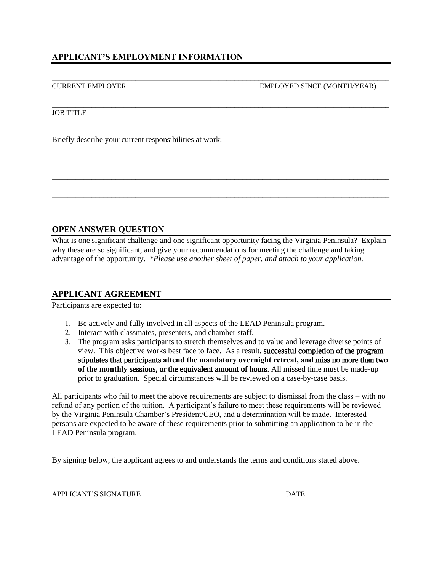\_\_\_\_\_\_\_\_\_\_\_\_\_\_\_\_\_\_\_\_\_\_\_\_\_\_\_\_\_\_\_\_\_\_\_\_\_\_\_\_\_\_\_\_\_\_\_\_\_\_\_\_\_\_\_\_\_\_\_\_\_\_\_\_\_\_\_\_\_\_\_\_\_\_\_\_\_\_\_\_\_\_\_\_\_ CURRENT EMPLOYER EMPLOYED SINCE (MONTH/YEAR)

#### JOB TITLE

Briefly describe your current responsibilities at work:

#### **OPEN ANSWER QUESTION**

What is one significant challenge and one significant opportunity facing the Virginia Peninsula? Explain why these are so significant, and give your recommendations for meeting the challenge and taking advantage of the opportunity. *\*Please use another sheet of paper, and attach to your application.*

\_\_\_\_\_\_\_\_\_\_\_\_\_\_\_\_\_\_\_\_\_\_\_\_\_\_\_\_\_\_\_\_\_\_\_\_\_\_\_\_\_\_\_\_\_\_\_\_\_\_\_\_\_\_\_\_\_\_\_\_\_\_\_\_\_\_\_\_\_\_\_\_\_\_\_\_\_\_\_\_\_\_\_\_\_

\_\_\_\_\_\_\_\_\_\_\_\_\_\_\_\_\_\_\_\_\_\_\_\_\_\_\_\_\_\_\_\_\_\_\_\_\_\_\_\_\_\_\_\_\_\_\_\_\_\_\_\_\_\_\_\_\_\_\_\_\_\_\_\_\_\_\_\_\_\_\_\_\_\_\_\_\_\_\_\_\_\_\_\_\_

\_\_\_\_\_\_\_\_\_\_\_\_\_\_\_\_\_\_\_\_\_\_\_\_\_\_\_\_\_\_\_\_\_\_\_\_\_\_\_\_\_\_\_\_\_\_\_\_\_\_\_\_\_\_\_\_\_\_\_\_\_\_\_\_\_\_\_\_\_\_\_\_\_\_\_\_\_\_\_\_\_\_\_\_\_

\_\_\_\_\_\_\_\_\_\_\_\_\_\_\_\_\_\_\_\_\_\_\_\_\_\_\_\_\_\_\_\_\_\_\_\_\_\_\_\_\_\_\_\_\_\_\_\_\_\_\_\_\_\_\_\_\_\_\_\_\_\_\_\_\_\_\_\_\_\_\_\_\_\_\_\_\_\_\_\_\_\_\_\_\_

#### **APPLICANT AGREEMENT**

Participants are expected to:

- 1. Be actively and fully involved in all aspects of the LEAD Peninsula program.
- 2. Interact with classmates, presenters, and chamber staff.
- 3. The program asks participants to stretch themselves and to value and leverage diverse points of view. This objective works best face to face. As a result, successful completion of the program stipulates that participants **attend the mandatory overnight retreat, and** miss no more than two **of the monthly** sessions, or the equivalent amount of hours. All missed time must be made-up prior to graduation. Special circumstances will be reviewed on a case-by-case basis.

All participants who fail to meet the above requirements are subject to dismissal from the class – with no refund of any portion of the tuition. A participant's failure to meet these requirements will be reviewed by the Virginia Peninsula Chamber's President/CEO, and a determination will be made. Interested persons are expected to be aware of these requirements prior to submitting an application to be in the LEAD Peninsula program.

\_\_\_\_\_\_\_\_\_\_\_\_\_\_\_\_\_\_\_\_\_\_\_\_\_\_\_\_\_\_\_\_\_\_\_\_\_\_\_\_\_\_\_\_\_\_\_\_\_\_\_\_\_\_\_\_\_\_\_\_\_\_\_\_\_\_\_\_\_\_\_\_\_\_\_\_\_\_\_\_\_\_\_\_\_

By signing below, the applicant agrees to and understands the terms and conditions stated above.